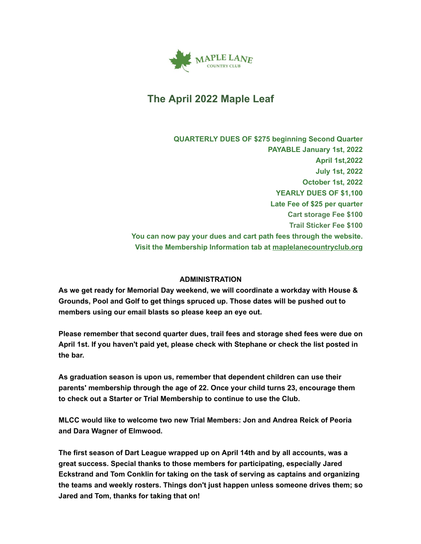

# **The April 2022 Maple Leaf**

**QUARTERLY DUES OF \$275 beginning Second Quarter PAYABLE January 1st, 2022 April 1st,2022 July 1st, 2022 October 1st, 2022 YEARLY DUES OF \$1,100 Late Fee of \$25 per quarter Cart storage Fee \$100 Trail Sticker Fee \$100 You can now pay your dues and cart path fees through the website. Visit the Membership Information tab at [maplelanecountryclub.org](http://www.maplelanecountryclub.org/)**

### **ADMINISTRATION**

**As we get ready for Memorial Day weekend, we will coordinate a workday with House & Grounds, Pool and Golf to get things spruced up. Those dates will be pushed out to members using our email blasts so please keep an eye out.**

**Please remember that second quarter dues, trail fees and storage shed fees were due on April 1st. If you haven't paid yet, please check with Stephane or check the list posted in the bar.**

**As graduation season is upon us, remember that dependent children can use their parents' membership through the age of 22. Once your child turns 23, encourage them to check out a Starter or Trial Membership to continue to use the Club.**

**MLCC would like to welcome two new Trial Members: Jon and Andrea Reick of Peoria and Dara Wagner of Elmwood.**

**The first season of Dart League wrapped up on April 14th and by all accounts, was a great success. Special thanks to those members for participating, especially Jared Eckstrand and Tom Conklin for taking on the task of serving as captains and organizing the teams and weekly rosters. Things don't just happen unless someone drives them; so Jared and Tom, thanks for taking that on!**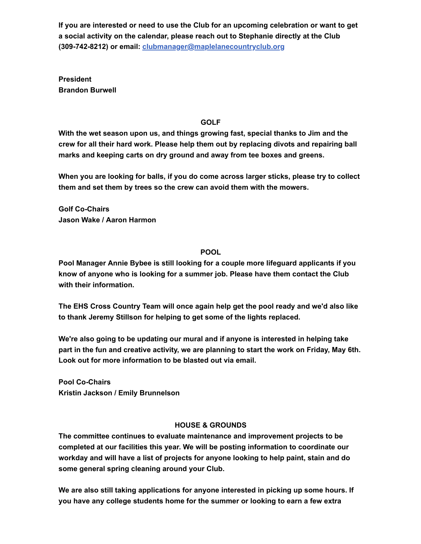**If you are interested or need to use the Club for an upcoming celebration or want to get a social activity on the calendar, please reach out to Stephanie directly at the Club (309-742-8212) or email: [clubmanager@maplelanecountryclub.org](mailto:clubmanager@maplelanecountryclub.org)**

**President Brandon Burwell**

## **GOLF**

**With the wet season upon us, and things growing fast, special thanks to Jim and the crew for all their hard work. Please help them out by replacing divots and repairing ball marks and keeping carts on dry ground and away from tee boxes and greens.**

**When you are looking for balls, if you do come across larger sticks, please try to collect them and set them by trees so the crew can avoid them with the mowers.**

**Golf Co-Chairs Jason Wake / Aaron Harmon**

# **POOL**

**Pool Manager Annie Bybee is still looking for a couple more lifeguard applicants if you know of anyone who is looking for a summer job. Please have them contact the Club with their information.**

**The EHS Cross Country Team will once again help get the pool ready and we'd also like to thank Jeremy Stillson for helping to get some of the lights replaced.**

**We're also going to be updating our mural and if anyone is interested in helping take part in the fun and creative activity, we are planning to start the work on Friday, May 6th. Look out for more information to be blasted out via email.**

**Pool Co-Chairs Kristin Jackson / Emily Brunnelson**

### **HOUSE & GROUNDS**

**The committee continues to evaluate maintenance and improvement projects to be completed at our facilities this year. We will be posting information to coordinate our workday and will have a list of projects for anyone looking to help paint, stain and do some general spring cleaning around your Club.**

**We are also still taking applications for anyone interested in picking up some hours. If you have any college students home for the summer or looking to earn a few extra**